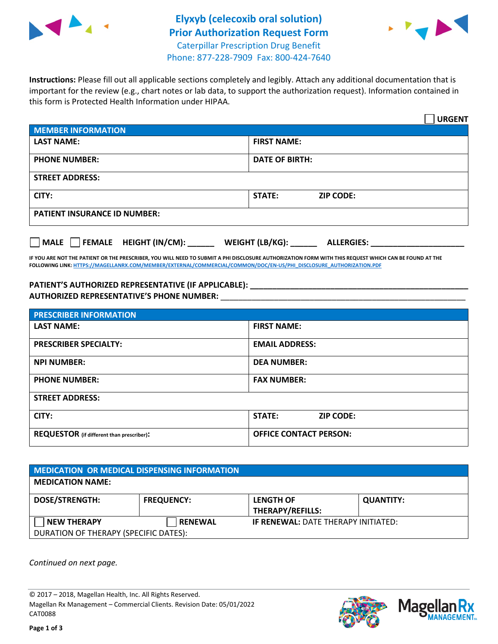



**Instructions:** Please fill out all applicable sections completely and legibly. Attach any additional documentation that is important for the review (e.g., chart notes or lab data, to support the authorization request). Information contained in this form is Protected Health Information under HIPAA.

|                                       | <b>URGENT</b>                        |  |  |  |
|---------------------------------------|--------------------------------------|--|--|--|
| <b>MEMBER INFORMATION</b>             |                                      |  |  |  |
| <b>LAST NAME:</b>                     | <b>FIRST NAME:</b>                   |  |  |  |
| <b>PHONE NUMBER:</b>                  | <b>DATE OF BIRTH:</b>                |  |  |  |
| <b>STREET ADDRESS:</b>                |                                      |  |  |  |
| CITY:                                 | <b>STATE:</b><br><b>ZIP CODE:</b>    |  |  |  |
| <b>PATIENT INSURANCE ID NUMBER:</b>   |                                      |  |  |  |
| FEMALE HEIGHT (IN/CM):<br><b>MALE</b> | WEIGHT (LB/KG):<br><b>ALLERGIES:</b> |  |  |  |

**IF YOU ARE NOT THE PATIENT OR THE PRESCRIBER, YOU WILL NEED TO SUBMIT A PHI DISCLOSURE AUTHORIZATION FORM WITH THIS REQUEST WHICH CAN BE FOUND AT THE FOLLOWING LINK[: HTTPS://MAGELLANRX.COM/MEMBER/EXTERNAL/COMMERCIAL/COMMON/DOC/EN-US/PHI\\_DISCLOSURE\\_AUTHORIZATION.PDF](https://magellanrx.com/member/external/commercial/common/doc/en-us/PHI_Disclosure_Authorization.pdf)**

**PATIENT'S AUTHORIZED REPRESENTATIVE (IF APPLICABLE): \_\_\_\_\_\_\_\_\_\_\_\_\_\_\_\_\_\_\_\_\_\_\_\_\_\_\_\_\_\_\_\_\_\_\_\_\_\_\_\_\_\_\_\_\_\_\_\_\_ AUTHORIZED REPRESENTATIVE'S PHONE NUMBER:** \_\_\_\_\_\_\_\_\_\_\_\_\_\_\_\_\_\_\_\_\_\_\_\_\_\_\_\_\_\_\_\_\_\_\_\_\_\_\_\_\_\_\_\_\_\_\_\_\_\_\_\_\_\_\_

| <b>PRESCRIBER INFORMATION</b>             |                               |  |  |  |
|-------------------------------------------|-------------------------------|--|--|--|
| <b>LAST NAME:</b>                         | <b>FIRST NAME:</b>            |  |  |  |
| <b>PRESCRIBER SPECIALTY:</b>              | <b>EMAIL ADDRESS:</b>         |  |  |  |
| <b>NPI NUMBER:</b>                        | <b>DEA NUMBER:</b>            |  |  |  |
| <b>PHONE NUMBER:</b>                      | <b>FAX NUMBER:</b>            |  |  |  |
| <b>STREET ADDRESS:</b>                    |                               |  |  |  |
| CITY:                                     | STATE:<br><b>ZIP CODE:</b>    |  |  |  |
| REQUESTOR (if different than prescriber): | <b>OFFICE CONTACT PERSON:</b> |  |  |  |

| MEDICATION OR MEDICAL DISPENSING INFORMATION |                   |                                            |                  |  |  |
|----------------------------------------------|-------------------|--------------------------------------------|------------------|--|--|
| <b>MEDICATION NAME:</b>                      |                   |                                            |                  |  |  |
| <b>DOSE/STRENGTH:</b>                        | <b>FREQUENCY:</b> | <b>LENGTH OF</b>                           | <b>QUANTITY:</b> |  |  |
|                                              |                   | <b>THERAPY/REFILLS:</b>                    |                  |  |  |
| <b>NEW THERAPY</b>                           | <b>RENEWAL</b>    | <b>IF RENEWAL: DATE THERAPY INITIATED:</b> |                  |  |  |
| DURATION OF THERAPY (SPECIFIC DATES):        |                   |                                            |                  |  |  |

*Continued on next page.*

© 2017 – 2018, Magellan Health, Inc. All Rights Reserved. Magellan Rx Management – Commercial Clients. Revision Date: 05/01/2022 CAT0088



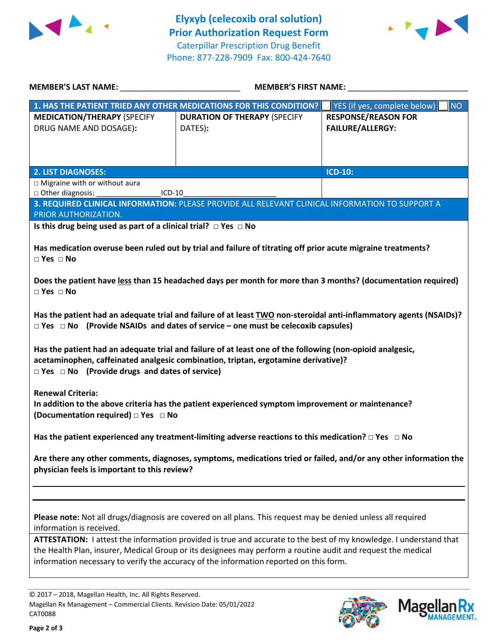



| <b>MEMBER'S LAST NAME:</b>                                                                                                                                                                                                                                                                                                                                                      | <b>MEMBER'S FIRST NAME:</b>                                                                     |                                                       |  |  |  |
|---------------------------------------------------------------------------------------------------------------------------------------------------------------------------------------------------------------------------------------------------------------------------------------------------------------------------------------------------------------------------------|-------------------------------------------------------------------------------------------------|-------------------------------------------------------|--|--|--|
|                                                                                                                                                                                                                                                                                                                                                                                 | 1. HAS THE PATIENT TRIED ANY OTHER MEDICATIONS FOR THIS CONDITION?                              | YES (if yes, complete below)<br>NO                    |  |  |  |
| <b>MEDICATION/THERAPY (SPECIFY</b><br>DRUG NAME AND DOSAGE):                                                                                                                                                                                                                                                                                                                    | <b>DURATION OF THERAPY (SPECIFY</b><br>DATES):                                                  | <b>RESPONSE/REASON FOR</b><br><b>FAILURE/ALLERGY:</b> |  |  |  |
|                                                                                                                                                                                                                                                                                                                                                                                 |                                                                                                 |                                                       |  |  |  |
| <b>2. LIST DIAGNOSES:</b>                                                                                                                                                                                                                                                                                                                                                       |                                                                                                 | <b>ICD-10:</b>                                        |  |  |  |
| □ Migraine with or without aura<br>□ Other diagnosis:<br>$ICD-10$                                                                                                                                                                                                                                                                                                               |                                                                                                 |                                                       |  |  |  |
| PRIOR AUTHORIZATION.                                                                                                                                                                                                                                                                                                                                                            | 3. REQUIRED CLINICAL INFORMATION: PLEASE PROVIDE ALL RELEVANT CLINICAL INFORMATION TO SUPPORT A |                                                       |  |  |  |
| Is this drug being used as part of a clinical trial? $\Box$ Yes $\Box$ No                                                                                                                                                                                                                                                                                                       |                                                                                                 |                                                       |  |  |  |
|                                                                                                                                                                                                                                                                                                                                                                                 |                                                                                                 |                                                       |  |  |  |
| Has medication overuse been ruled out by trial and failure of titrating off prior acute migraine treatments?<br>$\square$ Yes $\square$ No                                                                                                                                                                                                                                      |                                                                                                 |                                                       |  |  |  |
| Does the patient have less than 15 headached days per month for more than 3 months? (documentation required)<br>$\Box$ Yes $\Box$ No                                                                                                                                                                                                                                            |                                                                                                 |                                                       |  |  |  |
| Has the patient had an adequate trial and failure of at least TWO non-steroidal anti-inflammatory agents (NSAIDs)?<br>$\Box$ Yes $\Box$ No (Provide NSAIDs and dates of service – one must be celecoxib capsules)                                                                                                                                                               |                                                                                                 |                                                       |  |  |  |
| Has the patient had an adequate trial and failure of at least one of the following (non-opioid analgesic,<br>acetaminophen, caffeinated analgesic combination, triptan, ergotamine derivative)?<br>$\Box$ Yes $\Box$ No (Provide drugs and dates of service)                                                                                                                    |                                                                                                 |                                                       |  |  |  |
| <b>Renewal Criteria:</b><br>In addition to the above criteria has the patient experienced symptom improvement or maintenance?<br>(Documentation required) □ Yes □ No                                                                                                                                                                                                            |                                                                                                 |                                                       |  |  |  |
| Has the patient experienced any treatment-limiting adverse reactions to this medication? $\Box$ Yes $\Box$ No                                                                                                                                                                                                                                                                   |                                                                                                 |                                                       |  |  |  |
| Are there any other comments, diagnoses, symptoms, medications tried or failed, and/or any other information the<br>physician feels is important to this review?                                                                                                                                                                                                                |                                                                                                 |                                                       |  |  |  |
|                                                                                                                                                                                                                                                                                                                                                                                 |                                                                                                 |                                                       |  |  |  |
| Please note: Not all drugs/diagnosis are covered on all plans. This request may be denied unless all required<br>information is received.<br>ATTESTATION: I attest the information provided is true and accurate to the best of my knowledge. I understand that<br>the Health Plan, insurer, Medical Group or its designees may perform a routine audit and request the medical |                                                                                                 |                                                       |  |  |  |
| information necessary to verify the accuracy of the information reported on this form.                                                                                                                                                                                                                                                                                          |                                                                                                 |                                                       |  |  |  |

© 2017 – 2018, Magellan Health, Inc. All Rights Reserved. Magellan Rx Management – Commercial Clients. Revision Date: 05/01/2022 CAT0088